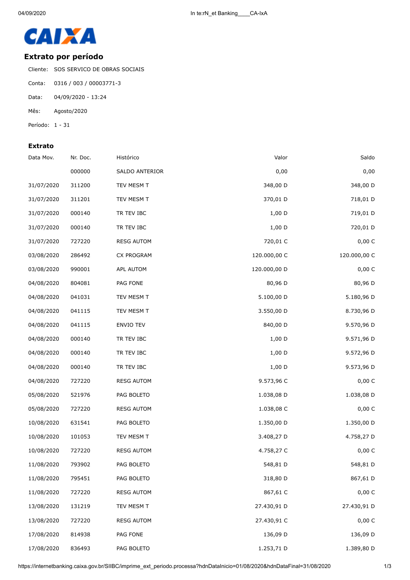

## **Extrato por período**

Cliente: SOS SERVICO DE OBRAS SOCIAIS

- Conta: 0316 / 003 / 00003771-3
- Data: 04/09/2020 13:24
- Mês: Agosto/2020
- Período: 1 31

## **Extrato**

| Saldo        | Valor        | Histórico         | Nr. Doc. | Data Mov.  |
|--------------|--------------|-------------------|----------|------------|
| 0,00         | 0,00         | SALDO ANTERIOR    | 000000   |            |
| 348,00 D     | 348,00 D     | TEV MESM T        | 311200   | 31/07/2020 |
| 718,01 D     | 370,01 D     | TEV MESM T        | 311201   | 31/07/2020 |
| 719,01 D     | $1,00$ D     | TR TEV IBC        | 000140   | 31/07/2020 |
| 720,01 D     | $1,00$ D     | TR TEV IBC        | 000140   | 31/07/2020 |
| 0,00 C       | 720,01 C     | <b>RESG AUTOM</b> | 727220   | 31/07/2020 |
| 120.000,00 C | 120.000,00 C | CX PROGRAM        | 286492   | 03/08/2020 |
| 0,00 C       | 120.000,00 D | APL AUTOM         | 990001   | 03/08/2020 |
| 80,96 D      | 80,96 D      | PAG FONE          | 804081   | 04/08/2020 |
| 5.180,96 D   | 5.100,00 D   | TEV MESM T        | 041031   | 04/08/2020 |
| 8.730,96 D   | 3.550,00 D   | TEV MESM T        | 041115   | 04/08/2020 |
| 9.570,96 D   | 840,00 D     | ENVIO TEV         | 041115   | 04/08/2020 |
| 9.571,96 D   | $1,00$ D     | TR TEV IBC        | 000140   | 04/08/2020 |
| 9.572,96 D   | $1,00$ D     | TR TEV IBC        | 000140   | 04/08/2020 |
| 9.573,96 D   | $1,00$ D     | TR TEV IBC        | 000140   | 04/08/2020 |
| 0,00 C       | 9.573,96 C   | <b>RESG AUTOM</b> | 727220   | 04/08/2020 |
| 1.038,08 D   | 1.038,08 D   | PAG BOLETO        | 521976   | 05/08/2020 |
| 0,00 C       | 1.038,08 C   | <b>RESG AUTOM</b> | 727220   | 05/08/2020 |
| 1.350,00 D   | 1.350,00 D   | PAG BOLETO        | 631541   | 10/08/2020 |
| 4.758,27 D   | 3.408,27 D   | TEV MESM T        | 101053   | 10/08/2020 |
| 0,00 C       | 4.758,27 C   | <b>RESG AUTOM</b> | 727220   | 10/08/2020 |
| 548,81 D     | 548,81 D     | PAG BOLETO        | 793902   | 11/08/2020 |
| 867,61 D     | 318,80 D     | PAG BOLETO        | 795451   | 11/08/2020 |
| 0,00 C       | 867,61 C     | <b>RESG AUTOM</b> | 727220   | 11/08/2020 |
| 27.430,91 D  | 27.430,91 D  | TEV MESM T        | 131219   | 13/08/2020 |
| 0,00 C       | 27.430,91 C  | <b>RESG AUTOM</b> | 727220   | 13/08/2020 |
| 136,09 D     | 136,09 D     | PAG FONE          | 814938   | 17/08/2020 |
| 1.389,80 D   | 1.253,71 D   | PAG BOLETO        | 836493   | 17/08/2020 |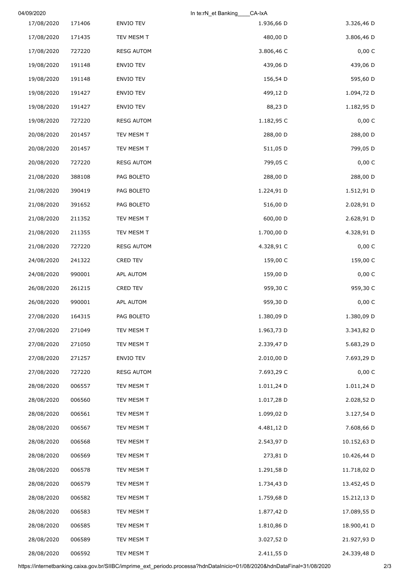| 04/09/2020 |        |                   | In te:rN_et Banking<br>CA-IxA |             |
|------------|--------|-------------------|-------------------------------|-------------|
| 17/08/2020 | 171406 | ENVIO TEV         | 1.936,66 D                    | 3.326,46 D  |
| 17/08/2020 | 171435 | TEV MESM T        | 480,00 D                      | 3.806,46 D  |
| 17/08/2020 | 727220 | <b>RESG AUTOM</b> | 3.806,46 C                    | 0,00 C      |
| 19/08/2020 | 191148 | ENVIO TEV         | 439,06 D                      | 439,06 D    |
| 19/08/2020 | 191148 | ENVIO TEV         | 156,54 D                      | 595,60 D    |
| 19/08/2020 | 191427 | ENVIO TEV         | 499,12 D                      | 1.094,72 D  |
| 19/08/2020 | 191427 | ENVIO TEV         | 88,23 D                       | 1.182,95 D  |
| 19/08/2020 | 727220 | <b>RESG AUTOM</b> | 1.182,95 C                    | 0,00 C      |
| 20/08/2020 | 201457 | TEV MESM T        | 288,00 D                      | 288,00 D    |
| 20/08/2020 | 201457 | TEV MESM T        | 511,05 D                      | 799,05 D    |
| 20/08/2020 | 727220 | <b>RESG AUTOM</b> | 799,05 C                      | 0,00 C      |
| 21/08/2020 | 388108 | PAG BOLETO        | 288,00 D                      | 288,00 D    |
| 21/08/2020 | 390419 | PAG BOLETO        | 1.224,91 D                    | 1.512,91 D  |
| 21/08/2020 | 391652 | PAG BOLETO        | 516,00 D                      | 2.028,91 D  |
| 21/08/2020 | 211352 | TEV MESM T        | 600,00 D                      | 2.628,91 D  |
| 21/08/2020 | 211355 | TEV MESM T        | 1.700,00 D                    | 4.328,91 D  |
| 21/08/2020 | 727220 | <b>RESG AUTOM</b> | 4.328,91 C                    | 0,00 C      |
| 24/08/2020 | 241322 | CRED TEV          | 159,00 C                      | 159,00 C    |
| 24/08/2020 | 990001 | APL AUTOM         | 159,00 D                      | 0,00 C      |
| 26/08/2020 | 261215 | CRED TEV          | 959,30 C                      | 959,30 C    |
| 26/08/2020 | 990001 | APL AUTOM         | 959,30 D                      | 0,00 C      |
| 27/08/2020 | 164315 | PAG BOLETO        | 1.380,09 D                    | 1.380,09 D  |
| 27/08/2020 | 271049 | TEV MESM T        | 1.963,73 D                    | 3.343,82 D  |
| 27/08/2020 | 271050 | TEV MESM T        | 2.339,47 D                    | 5.683,29 D  |
| 27/08/2020 | 271257 | ENVIO TEV         | 2.010,00 D                    | 7.693,29 D  |
| 27/08/2020 | 727220 | <b>RESG AUTOM</b> | 7.693,29 C                    | 0,00 C      |
| 28/08/2020 | 006557 | TEV MESM T        | 1.011,24 D                    | 1.011,24 D  |
| 28/08/2020 | 006560 | TEV MESM T        | 1.017,28 D                    | 2.028,52 D  |
| 28/08/2020 | 006561 | TEV MESM T        | 1.099,02 D                    | 3.127,54 D  |
| 28/08/2020 | 006567 | TEV MESM T        | 4.481,12 D                    | 7.608,66 D  |
| 28/08/2020 | 006568 | TEV MESM T        | 2.543,97 D                    | 10.152,63 D |
| 28/08/2020 | 006569 | TEV MESM T        | 273,81 D                      | 10.426,44 D |
| 28/08/2020 | 006578 | TEV MESM T        | 1.291,58 D                    | 11.718,02 D |
| 28/08/2020 | 006579 | TEV MESM T        | 1.734,43 D                    | 13.452,45 D |
| 28/08/2020 | 006582 | TEV MESM T        | 1.759,68 D                    | 15.212,13 D |
| 28/08/2020 | 006583 | TEV MESM T        | 1.877,42 D                    | 17.089,55 D |
| 28/08/2020 | 006585 | TEV MESM T        | 1.810,86 D                    | 18.900,41 D |
| 28/08/2020 | 006589 | TEV MESM T        | 3.027,52 D                    | 21.927,93 D |
| 28/08/2020 | 006592 | TEV MESM T        | 2.411,55 D                    | 24.339,48 D |